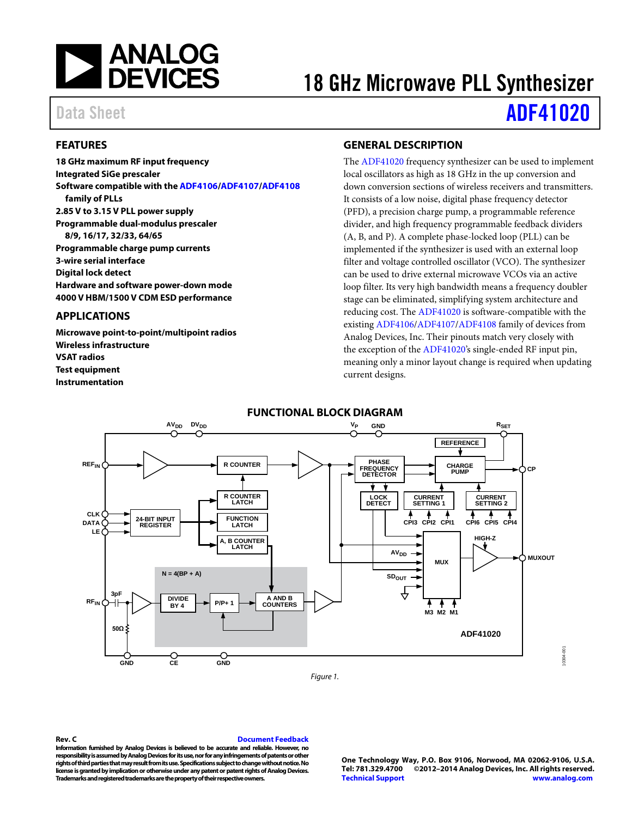

# 18 GHz Microwave PLL Synthesizer

# Data Sheet **[ADF41020](http://www.analog.com/ADF41020?doc=ADF41020.pdf)**

## <span id="page-0-0"></span>**FEATURES**

**18 GHz maximum RF input frequency Integrated SiGe prescaler Software compatible with the [ADF4106](http://www.analog.com/ADF4106?doc=ADF41020.pdf)[/ADF4107](http://www.analog.com/ADF4107?doc=ADF41020.pdf)[/ADF4108](http://www.analog.com/ADF4108?doc=ADF41020.pdf) family of PLLs 2.85 V to 3.15 V PLL power supply Programmable dual-modulus prescaler 8/9, 16/17, 32/33, 64/65 Programmable charge pump currents 3-wire serial interface Digital lock detect Hardware and software power-down mode 4000 V HBM/1500 V CDM ESD performance**

### <span id="page-0-1"></span>**APPLICATIONS**

**Microwave point-to-point/multipoint radios Wireless infrastructure VSAT radios Test equipment Instrumentation**

## <span id="page-0-2"></span>**GENERAL DESCRIPTION**

The [ADF41020](http://www.analog.com/ADF41020?doc=ADF41020.pdf) frequency synthesizer can be used to implement local oscillators as high as 18 GHz in the up conversion and down conversion sections of wireless receivers and transmitters. It consists of a low noise, digital phase frequency detector (PFD), a precision charge pump, a programmable reference divider, and high frequency programmable feedback dividers (A, B, and P). A complete phase-locked loop (PLL) can be implemented if the synthesizer is used with an external loop filter and voltage controlled oscillator (VCO). The synthesizer can be used to drive external microwave VCOs via an active loop filter. Its very high bandwidth means a frequency doubler stage can be eliminated, simplifying system architecture and reducing cost. Th[e ADF41020](http://www.analog.com/ADF41020?doc=ADF41020.pdf) is software-compatible with the existin[g ADF4106/](http://www.analog.com/ADF4106?doc=ADF41020.pdf)[ADF4107/](http://www.analog.com/ADF4107?doc=ADF41020.pdf)[ADF4108](http://www.analog.com/ADF4108?doc=ADF41020.pdf) family of devices from Analog Devices, Inc. Their pinouts match very closely with the exception of the [ADF41020's](http://www.analog.com/ADF41020?doc=ADF41020.pdf) single-ended RF input pin, meaning only a minor layout change is required when updating current designs.

<span id="page-0-3"></span>

*Figure 1.*

#### <span id="page-0-4"></span>**Rev. C [Document Feedback](https://form.analog.com/Form_Pages/feedback/documentfeedback.aspx?doc=ADF41020.pdf&page=%201&product=ADF41020&rev=C)**

**Information furnished by Analog Devices is believed to be accurate and reliable. However, no responsibility is assumed by Analog Devices for its use, nor for any infringements of patents or other rights of third parties that may result from its use. Specifications subject to change without notice. No license is granted by implication or otherwise under any patent or patent rights of Analog Devices. Trademarks and registered trademarks are the property of their respective owners.**

**One Technology Way, P.O. Box 9106, Norwood, MA 02062-9106, U.S.A. Tel: 781.329.4700 ©2012–2014 Analog Devices, Inc. All rights reserved. [Technical Support](http://www.analog.com/en/content/technical_support_page/fca.html) [www.analog.com](http://www.analog.com/)**

10304-001

0304-001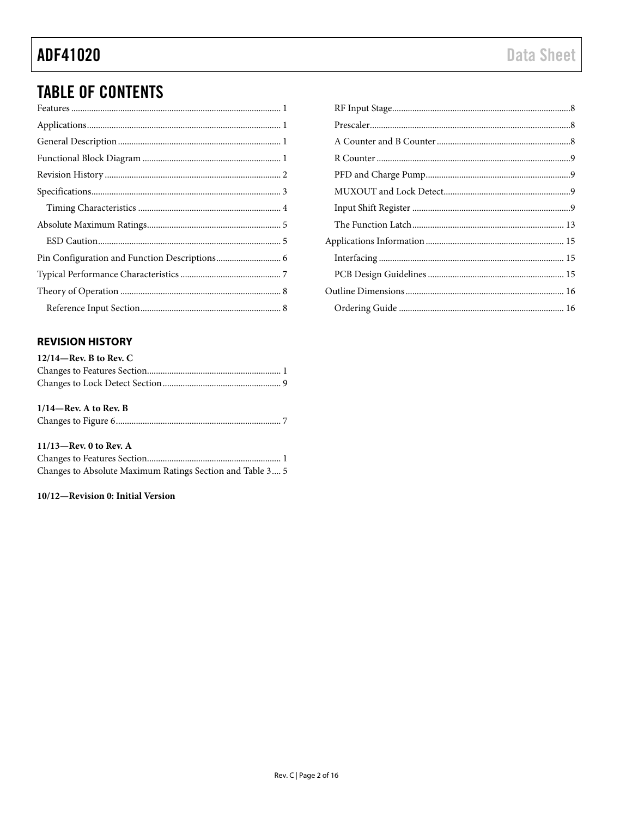# **TABLE OF CONTENTS**

# <span id="page-1-0"></span>**REVISION HISTORY**

| $12/14$ —Rev. B to Rev. C |  |
|---------------------------|--|
|                           |  |
|                           |  |

# $1/14$ —Rev. A to Rev. B

| $11/13$ —Rev. 0 to Rev. A |  |
|---------------------------|--|

| $11112$ went to them in                                   |  |
|-----------------------------------------------------------|--|
|                                                           |  |
| Changes to Absolute Maximum Ratings Section and Table 3 5 |  |

### 10/12-Revision 0: Initial Version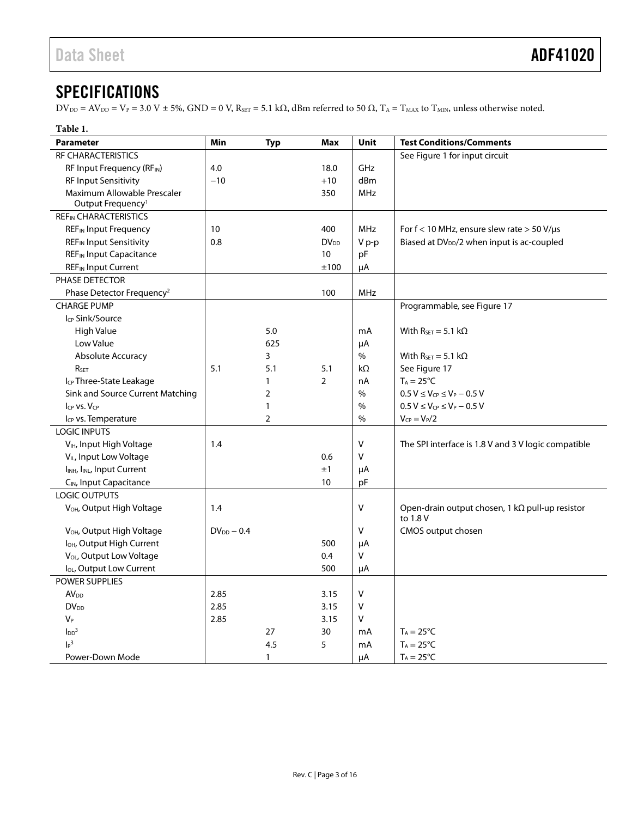# <span id="page-2-0"></span>**SPECIFICATIONS**

 $DV_{DD} = AV_{DD} = V_P = 3.0 \text{ V} \pm 5\%, \text{GND} = 0 \text{ V}, R_{SET} = 5.1 \text{ k}\Omega$ , dBm referred to 50  $\Omega$ ,  $T_A = T_{MAX}$  to  $T_{MIN}$ , unless otherwise noted.

<span id="page-2-1"></span>

| Table 1.                                            |                 |                |                |        |                                                                    |
|-----------------------------------------------------|-----------------|----------------|----------------|--------|--------------------------------------------------------------------|
| <b>Parameter</b>                                    | <b>Min</b>      | <b>Typ</b>     | <b>Max</b>     | Unit   | <b>Test Conditions/Comments</b>                                    |
| RF CHARACTERISTICS                                  |                 |                |                |        | See Figure 1 for input circuit                                     |
| RF Input Frequency (RFIN)                           | 4.0             |                | 18.0           | GHz    |                                                                    |
| <b>RF Input Sensitivity</b>                         | $-10$           |                | $+10$          | dBm    |                                                                    |
| Maximum Allowable Prescaler                         |                 |                | 350            | MHz    |                                                                    |
| Output Frequency <sup>1</sup>                       |                 |                |                |        |                                                                    |
| <b>REFIN CHARACTERISTICS</b>                        |                 |                |                |        |                                                                    |
| <b>REF<sub>IN</sub></b> Input Frequency             | 10              |                | 400            | MHz    | For $f < 10$ MHz, ensure slew rate $> 50$ V/ $\mu s$               |
| <b>REFIN Input Sensitivity</b>                      | 0.8             |                | $DV_{DD}$      | V p-p  | Biased at DV <sub>DD</sub> /2 when input is ac-coupled             |
| <b>REF<sub>IN</sub></b> Input Capacitance           |                 |                | 10             | pF     |                                                                    |
| <b>REF</b> IN Input Current                         |                 |                | ±100           | μA     |                                                                    |
| PHASE DETECTOR                                      |                 |                |                |        |                                                                    |
| Phase Detector Frequency <sup>2</sup>               |                 |                | 100            | MHz    |                                                                    |
| <b>CHARGE PUMP</b>                                  |                 |                |                |        | Programmable, see Figure 17                                        |
| I <sub>CP</sub> Sink/Source                         |                 |                |                |        |                                                                    |
| <b>High Value</b>                                   |                 | 5.0            |                | mA     | With $R_{\text{SET}} = 5.1 \text{ k}\Omega$                        |
| Low Value                                           |                 | 625            |                | μA     |                                                                    |
| Absolute Accuracy                                   |                 | 3              |                | $\%$   | With $R_{SET} = 5.1 \text{ k}\Omega$                               |
| RSET                                                | 5.1             | 5.1            | 5.1            | kΩ     | See Figure 17                                                      |
| I <sub>CP</sub> Three-State Leakage                 |                 | 1              | $\overline{2}$ | nA     | $T_A = 25^{\circ}C$                                                |
| Sink and Source Current Matching                    |                 | 2              |                | $\%$   | $0.5 V \le V_{CP} \le V_P - 0.5 V$                                 |
| ICP VS. VCP                                         |                 | 1              |                | $\%$   | $0.5 V \leq V_{CP} \leq V_P - 0.5 V$                               |
| Icp vs. Temperature                                 |                 | $\overline{2}$ |                | $\%$   | $V_{CP} = V_P/2$                                                   |
| <b>LOGIC INPUTS</b>                                 |                 |                |                |        |                                                                    |
| V <sub>IH</sub> , Input High Voltage                | 1.4             |                |                | $\vee$ | The SPI interface is 1.8 V and 3 V logic compatible                |
| V <sub>IL</sub> , Input Low Voltage                 | 0.6             |                |                | v      |                                                                    |
| I <sub>INH</sub> , I <sub>INL</sub> , Input Current | ±1              |                | μA             |        |                                                                    |
| C <sub>IN</sub> , Input Capacitance<br>10           |                 |                | pF             |        |                                                                    |
| LOGIC OUTPUTS                                       |                 |                |                |        |                                                                    |
| V <sub>OH</sub> , Output High Voltage               | 1.4             |                |                | $\vee$ | Open-drain output chosen, $1 k\Omega$ pull-up resistor<br>to 1.8 V |
| V <sub>OH</sub> , Output High Voltage               | $DV_{DD} - 0.4$ |                |                | $\vee$ | CMOS output chosen                                                 |
| I <sub>OH</sub> , Output High Current               |                 |                | 500            | μA     |                                                                    |
| V <sub>OL</sub> , Output Low Voltage<br>0.4         |                 | V              |                |        |                                                                    |
| lou, Output Low Current                             |                 |                | 500            | μA     |                                                                    |
| <b>POWER SUPPLIES</b>                               |                 |                |                |        |                                                                    |
| AV <sub>DD</sub>                                    | 2.85            |                | 3.15           | v      |                                                                    |
| <b>DV</b> <sub>DD</sub>                             | 2.85<br>3.15    |                | v              |        |                                                                    |
| $V_P$                                               | 2.85<br>3.15    |                | v              |        |                                                                    |
| $\text{LDD}^3$                                      |                 | 27             | 30             | mA     | $T_A = 25^{\circ}C$                                                |
| $\mathsf{I}_{\mathsf{P}}^3$                         |                 | 4.5            | 5              | mA     | $T_A = 25^{\circ}C$                                                |
| Power-Down Mode                                     |                 | $\mathbf{1}$   |                | μA     | $T_A = 25^{\circ}C$                                                |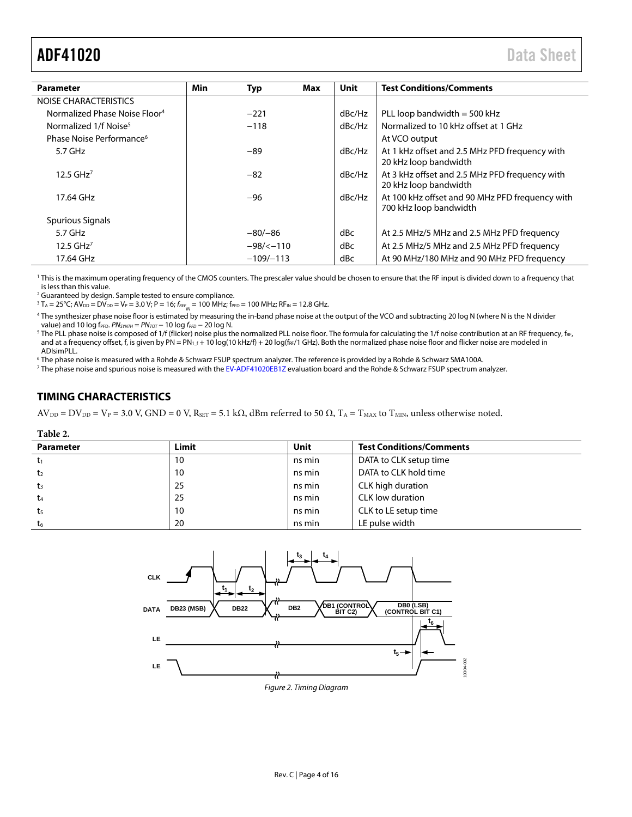<span id="page-3-1"></span>

|                                           |             |             |        | <b>Unit</b>                                                               |                                                                         |
|-------------------------------------------|-------------|-------------|--------|---------------------------------------------------------------------------|-------------------------------------------------------------------------|
| <b>Parameter</b>                          | Min         | <b>Typ</b>  | Max    |                                                                           | <b>Test Conditions/Comments</b>                                         |
| NOISE CHARACTERISTICS                     |             |             |        |                                                                           |                                                                         |
| Normalized Phase Noise Floor <sup>4</sup> |             | $-221$      |        | dBc/Hz                                                                    | PLL loop bandwidth $=$ 500 kHz                                          |
| Normalized 1/f Noise <sup>5</sup>         |             | $-118$      |        | dBc/Hz                                                                    | Normalized to 10 kHz offset at 1 GHz                                    |
| Phase Noise Performance <sup>6</sup>      |             |             |        |                                                                           | At VCO output                                                           |
| $5.7$ GHz                                 |             | -89         |        | dBc/Hz                                                                    | At 1 kHz offset and 2.5 MHz PFD frequency with<br>20 kHz loop bandwidth |
| $12.5$ GHz <sup>7</sup>                   |             | $-82$       |        | dBc/Hz                                                                    | At 3 kHz offset and 2.5 MHz PFD frequency with<br>20 kHz loop bandwidth |
| 17.64 GHz                                 | -96         |             | dBc/Hz | At 100 kHz offset and 90 MHz PFD frequency with<br>700 kHz loop bandwidth |                                                                         |
| Spurious Signals                          |             |             |        |                                                                           |                                                                         |
| $5.7$ GHz                                 |             | $-80/-86$   |        | dBc                                                                       | At 2.5 MHz/5 MHz and 2.5 MHz PFD frequency                              |
| $12.5$ GHz <sup>7</sup>                   |             | $-98/5-110$ |        | dBc                                                                       | At 2.5 MHz/5 MHz and 2.5 MHz PFD frequency                              |
| 17.64 GHz                                 | $-109/-113$ |             | dBc    | At 90 MHz/180 MHz and 90 MHz PFD frequency                                |                                                                         |

<sup>1</sup> This is the maximum operating frequency of the CMOS counters. The prescaler value should be chosen to ensure that the RF input is divided down to a frequency that is less than this value.

<sup>2</sup> Guaranteed by design. Sample tested to ensure compliance.

 $3 T_A = 25^{\circ}$ C;  $AV_{DD} = DV_{DD} = V_P = 3.0 V; P = 16; f_{REF_{IN}} = 100 MHz; f_{PFD} = 100 MHz; RF_{IN} = 12.8 GHz.$ 

<sup>4</sup> The synthesizer phase noise floor is estimated by measuring the in-band phase noise at the output of the VCO and subtracting 20 log N (where N is the N divider value) and 10 log f<sub>PFD</sub>. *PN<sub>SYNTH</sub>* = *PN<sub>TOT</sub>* − 10 log f<sub>PFD</sub> − 20 log N.

<sup>5</sup> The PLL phase noise is composed of 1/f (flicker) noise plus the normalized PLL noise floor. The formula for calculating the 1/f noise contribution at an RF frequency, fre, and at a frequency offset, f, is given by PN = PN<sub>1\_f</sub> + 10 log(10 kHz/f) + 20 log(f<sub>RF</sub>/1 GHz). Both the normalized phase noise floor and flicker noise are modeled in ADIsimPLL.

<sup>6</sup> The phase noise is measured with a Rohde & Schwarz FSUP spectrum analyzer. The reference is provided by a Rohde & Schwarz SMA100A.

<sup>7</sup> The phase noise and spurious noise is measured with th[e EV-ADF41020EB1Z](http://www.analog.com/ADF41020?doc=ADF41020.pdf) evaluation board and the Rohde & Schwarz FSUP spectrum analyzer.

## <span id="page-3-0"></span>**TIMING CHARACTERISTICS**

 $AV_{DD} = DV_{DD} = V_P = 3.0$  V,  $GND = 0$  V,  $R_{SET} = 5.1$  k $\Omega$ , dBm referred to 50  $\Omega$ ,  $T_A = T_{MAX}$  to  $T_{MIN}$ , unless otherwise noted.

#### **Table 2.**

| <b>Parameter</b> | Limit | Unit   | <b>Test Conditions/Comments</b> |
|------------------|-------|--------|---------------------------------|
|                  | 10    | ns min | DATA to CLK setup time          |
| t2               | 10    | ns min | DATA to CLK hold time           |
| t3               | 25    | ns min | CLK high duration               |
| t4               | 25    | ns min | CLK low duration                |
| t5               | 10    | ns min | CLK to LE setup time            |
| t <sub>6</sub>   | 20    | ns min | LE pulse width                  |

<span id="page-3-2"></span>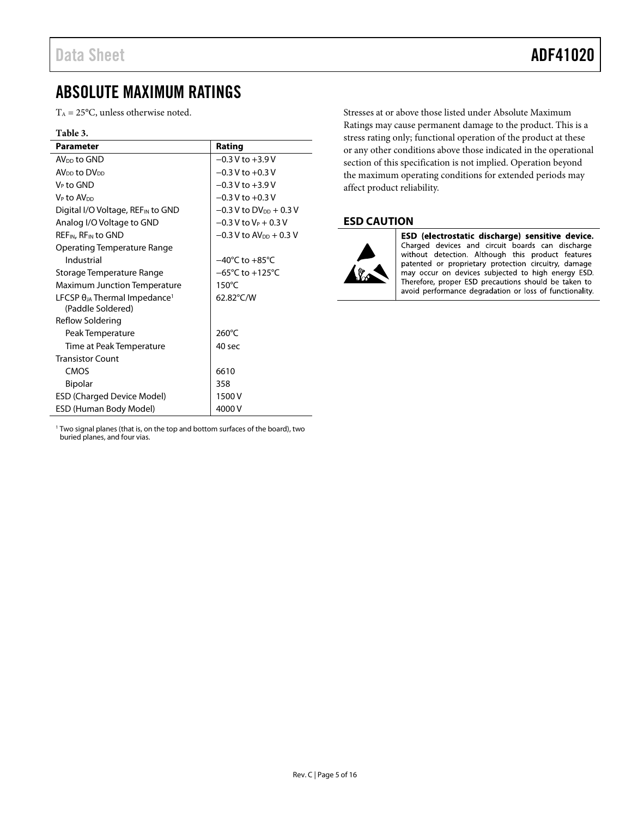# <span id="page-4-0"></span>ABSOLUTE MAXIMUM RATINGS

 $T_A = 25$ °C, unless otherwise noted.

#### **Table 3.**

| <b>Parameter</b>                                                        | Rating                               |
|-------------------------------------------------------------------------|--------------------------------------|
| AV <sub>pp</sub> to GND                                                 | $-0.3$ V to $+3.9$ V                 |
| $AVDD$ to $DVDD$                                                        | $-0.3$ V to $+0.3$ V                 |
| V⊳ to GND                                                               | $-0.3$ V to $+3.9$ V                 |
| V <sub>⊵</sub> to AV <sub>DD</sub>                                      | $-0.3$ V to $+0.3$ V                 |
| Digital I/O Voltage, REF <sub>IN</sub> to GND                           | $-0.3$ V to DV <sub>DD</sub> + 0.3 V |
| Analog I/O Voltage to GND                                               | $-0.3$ V to V <sub>P</sub> + 0.3 V   |
| REF <sub>IN</sub> , RF <sub>IN</sub> to GND                             | $-0.3$ V to AV <sub>DD</sub> + 0.3 V |
| Operating Temperature Range                                             |                                      |
| Industrial                                                              | $-40^{\circ}$ C to $+85^{\circ}$ C   |
| Storage Temperature Range                                               | $-65^{\circ}$ C to $+125^{\circ}$ C  |
| <b>Maximum Junction Temperature</b>                                     | $150^{\circ}$ C                      |
| LFCSP $\theta_{JA}$ Thermal Impedance <sup>1</sup><br>(Paddle Soldered) | 62.82°C/W                            |
| Reflow Soldering                                                        |                                      |
| Peak Temperature                                                        | 260°C                                |
| Time at Peak Temperature                                                | 40 sec                               |
| <b>Transistor Count</b>                                                 |                                      |
| CMOS                                                                    | 6610                                 |
| <b>Bipolar</b>                                                          | 358                                  |
| <b>ESD (Charged Device Model)</b>                                       | 1500 V                               |
| ESD (Human Body Model)                                                  | 4000 V                               |

Stresses at or above those listed under Absolute Maximum Ratings may cause permanent damage to the product. This is a stress rating only; functional operation of the product at these or any other conditions above those indicated in the operational section of this specification is not implied. Operation beyond the maximum operating conditions for extended periods may affect product reliability.

## <span id="page-4-1"></span>**ESD CAUTION**



ESD (electrostatic discharge) sensitive device. Charged devices and circuit boards can discharge without detection. Although this product features patented or proprietary protection circuitry, damage may occur on devices subjected to high energy ESD.<br>Therefore, proper ESD precautions should be taken to avoid performance degradation or loss of functionality.

<sup>1</sup> Two signal planes (that is, on the top and bottom surfaces of the board), two buried planes, and four vias.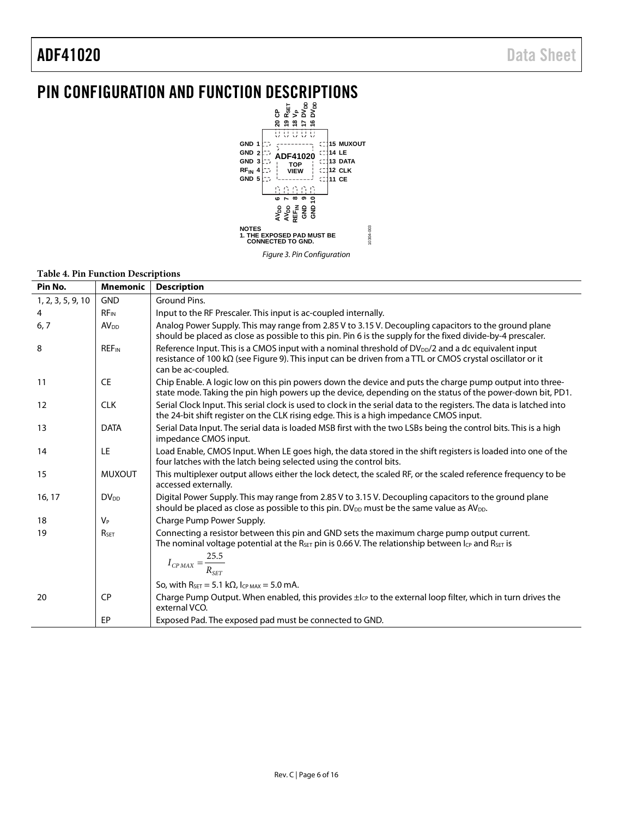# <span id="page-5-0"></span>PIN CONFIGURATION AND FUNCTION DESCRIPTIONS



#### **Table 4. Pin Function Descriptions**

| Pin No.           | <b>Mnemonic</b>         | <b>Description</b>                                                                                                                                                                                                                                 |  |  |  |  |
|-------------------|-------------------------|----------------------------------------------------------------------------------------------------------------------------------------------------------------------------------------------------------------------------------------------------|--|--|--|--|
| 1, 2, 3, 5, 9, 10 | <b>GND</b>              | Ground Pins.                                                                                                                                                                                                                                       |  |  |  |  |
| 4                 | $RF_{IN}$               | Input to the RF Prescaler. This input is ac-coupled internally.                                                                                                                                                                                    |  |  |  |  |
| 6, 7              | AV <sub>DD</sub>        | Analog Power Supply. This may range from 2.85 V to 3.15 V. Decoupling capacitors to the ground plane<br>should be placed as close as possible to this pin. Pin 6 is the supply for the fixed divide-by-4 prescaler.                                |  |  |  |  |
| 8                 | <b>REF<sub>IN</sub></b> | Reference Input. This is a CMOS input with a nominal threshold of DV <sub>DD</sub> /2 and a dc equivalent input<br>resistance of 100 kΩ (see Figure 9). This input can be driven from a TTL or CMOS crystal oscillator or it<br>can be ac-coupled. |  |  |  |  |
| 11                | <b>CE</b>               | Chip Enable. A logic low on this pin powers down the device and puts the charge pump output into three-<br>state mode. Taking the pin high powers up the device, depending on the status of the power-down bit, PD1.                               |  |  |  |  |
| 12                | <b>CLK</b>              | Serial Clock Input. This serial clock is used to clock in the serial data to the registers. The data is latched into<br>the 24-bit shift register on the CLK rising edge. This is a high impedance CMOS input.                                     |  |  |  |  |
| 13                | <b>DATA</b>             | Serial Data Input. The serial data is loaded MSB first with the two LSBs being the control bits. This is a high<br>impedance CMOS input.                                                                                                           |  |  |  |  |
| 14                | LE                      | Load Enable, CMOS Input. When LE goes high, the data stored in the shift registers is loaded into one of the<br>four latches with the latch being selected using the control bits.                                                                 |  |  |  |  |
| 15                | <b>MUXOUT</b>           | This multiplexer output allows either the lock detect, the scaled RF, or the scaled reference frequency to be<br>accessed externally.                                                                                                              |  |  |  |  |
| 16, 17            | <b>DV</b> <sub>DD</sub> | Digital Power Supply. This may range from 2.85 V to 3.15 V. Decoupling capacitors to the ground plane<br>should be placed as close as possible to this pin. DV <sub>DD</sub> must be the same value as AV <sub>DD</sub> .                          |  |  |  |  |
| 18                | $V_P$                   | Charge Pump Power Supply.                                                                                                                                                                                                                          |  |  |  |  |
| 19                | RSET                    | Connecting a resistor between this pin and GND sets the maximum charge pump output current.<br>The nominal voltage potential at the R <sub>SET</sub> pin is 0.66 V. The relationship between $I_{CP}$ and R <sub>SET</sub> is                      |  |  |  |  |
|                   |                         | $I_{CPMAX} = \frac{25.5}{R_{SET}}$                                                                                                                                                                                                                 |  |  |  |  |
|                   |                         | So, with $R_{\text{SET}} = 5.1 \text{ k}\Omega$ , $I_{\text{CP MAX}} = 5.0 \text{ mA}$ .                                                                                                                                                           |  |  |  |  |
| 20                | <b>CP</b>               | Charge Pump Output. When enabled, this provides $\pm l_{CP}$ to the external loop filter, which in turn drives the<br>external VCO.                                                                                                                |  |  |  |  |
|                   | EP                      | Exposed Pad. The exposed pad must be connected to GND.                                                                                                                                                                                             |  |  |  |  |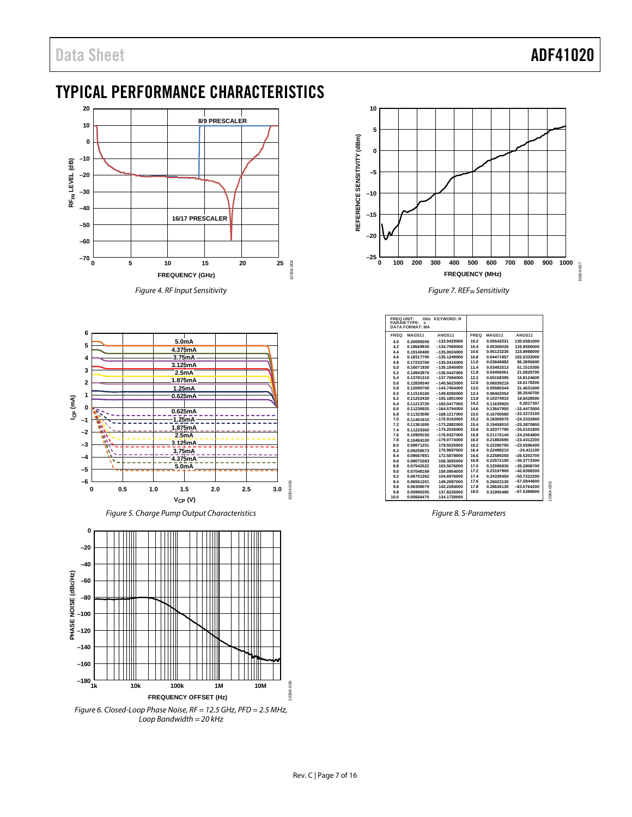# <span id="page-6-0"></span>TYPICAL PERFORMANCE CHARACTERISTICS



Figure 4. RF Input Sensitivity



Figure 5. Charge Pump Output Characteristics



Figure 6. Closed-Loop Phase Noise, RF = 12.5 GHz, PFD = 2.5 MHz, Loop Bandwidth =  $20$  kHz



Figure 7. REF<sub>IN</sub> Sensitivity

| <b>FREQ UNIT:</b> | <b>PARAMTYPE:</b><br>s<br><b>DATA FORMAT: MA</b> | GHz KEYWORD: R     |      |            |                    |
|-------------------|--------------------------------------------------|--------------------|------|------------|--------------------|
| <b>FREQ</b>       | MAGS <sub>11</sub>                               | ANGS <sub>11</sub> | FREQ | MAGS11     | ANGS <sub>11</sub> |
| 4.0               | 0.20099200                                       | $-133.9429000$     | 10.2 | 0.05542031 | 130.0581000        |
| 4.2               | 0.19669930                                       | $-134.7069000$     | 10.4 | 0.05306026 | 126.9556000        |
| 4.4               | 0.19140480                                       | $-135.0024000$     | 10.6 | 0.05123230 | 115.8988000        |
| 4.6               | 0.18317790                                       | $-135.1249000$     | 10.8 | 0.04471957 | 102.0333000        |
| 4.8               | 0.17232760                                       | $-135.0415000$     | 11.0 | 0.03846882 | 86,3895600         |
| 5.0               | 0.16071930                                       | $-135.1840000$     | 11.4 | 0.03402513 | 51.1515300         |
| 5.2               | 0.14943970                                       | $-136.0447000$     | 11.8 | 0.04456061 | 21.0829700         |
| 5.4               | 0.13791310                                       | $-137.7694000$     | 12.2 | 0.05158395 | 16.8124600         |
| 5.6               | 0.12839340                                       | $-140.5623000$     | 12.6 | 0.06039219 | 16.5178200         |
| 5.8               | 0.12090700                                       | $-144.7454000$     | 13.0 | 0.05580344 | 31.4631600         |
| 6.0               | 0.11516160                                       | $-149.8260000$     | 13.4 | 0.08402054 | 36.3540700         |
| 6.2               | 0.11252430                                       | $-155.1801000$     | 13.8 | 0.10374910 | 18,8428500         |
| 6.4               | 0.11213720                                       | $-160.0477000$     | 14.2 | 0.11639920 | 0.2817307          |
| 6.6               | 0.11236920                                       | $-164.5794000$     | 14.6 | 0.13647950 | $-15.4473000$      |
| 6.8               | 0.11323590                                       | $-168.1217000$     | 15.0 | 0.16700580 | $-22.3273100$      |
| 7.0               | 0.11401910                                       | $-170.9163000$     | 15.2 | 0.18309070 | $-24.3333900$      |
| 7.2               | 0.11361600                                       | $-173.2882000$     | 15.4 | 0.19458010 | $-25.3870800$      |
| 7.4               | 0.11225360                                       | $-175.2539000$     | 15.6 | 0.20377790 | $-25.0101800$      |
| 7.6               | 0.10909150                                       | $-176.9327000$     | 15.8 | 0.21170140 | $-24.2554800$      |
| 7.8               | 0.10484100                                       | $-179.0774000$     | 16.0 | 0.21883690 | $-23.4312200$      |
| 8.0               | 0.09871251                                       | 178,5525000        | 16.2 | 0.22280700 | $-23.5596400$      |
| 8.2               | 0.09258573                                       | 175.9697000        | 16.4 | 0.22498210 | $-24.411100$       |
| 8.4               | 0.08667851                                       | 172,5878000        | 16.6 | 0.22589250 | $-26.5202700$      |
| 8.6               | 0.08075383                                       | 168,3692000        | 16.8 | 0.22572100 | $-30.3773300$      |
| 8.8               | 0.07542522                                       | 163,5676000        | 17.0 | 0.22596830 | $-36.2808700$      |
| 9.0               | 0.07048169                                       | 159.0954000        | 17.2 | 0.23197900 | $-42.8398200$      |
| 9.2               | 0.06751262                                       | 154,6976000        | 17.4 | 0.24339450 | $-50.7222200$      |
| 9.4               | 0.06561201                                       | 149.2087000        | 17.6 | 0.26023130 | $-57.5844600$      |
| 9.6               | 0.06308079                                       | 142.2284000        | 17.8 | 0.28636130 | $-63.0764200$      |
| 9.8               | 0.05995205                                       | 137.8226000        | 18.0 | 0.31905490 | $-67.5389600$      |
| 10.0              | 0.05666475                                       | 134.1730000        |      |            |                    |

Figure 8. S-Parameters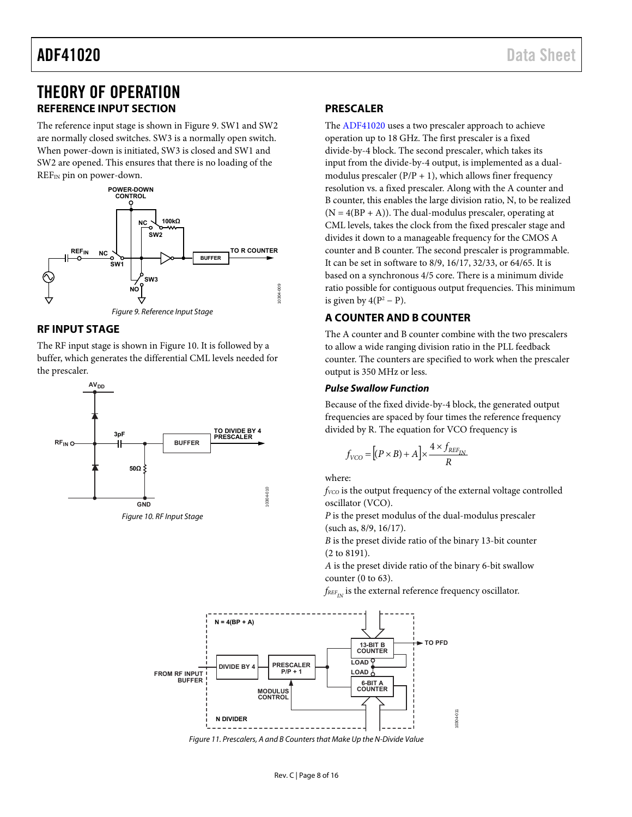# <span id="page-7-0"></span>THEORY OF OPERATION **REFERENCE INPUT SECTION**

<span id="page-7-1"></span>The reference input stage is shown i[n Figure 9.](#page-7-5) SW1 and SW2 are normally closed switches. SW3 is a normally open switch. When power-down is initiated, SW3 is closed and SW1 and SW2 are opened. This ensures that there is no loading of the REF<sub>IN</sub> pin on power-down.



# <span id="page-7-5"></span><span id="page-7-2"></span>**RF INPUT STAGE**

The RF input stage is shown in [Figure 10.](#page-7-6) It is followed by a buffer, which generates the differential CML levels needed for the prescaler.



<span id="page-7-6"></span>

### <span id="page-7-3"></span>**PRESCALER**

The [ADF41020 u](http://www.analog.com/ADF41020?doc=ADF41020.pdf)ses a two prescaler approach to achieve operation up to 18 GHz. The first prescaler is a fixed divide-by-4 block. The second prescaler, which takes its input from the divide-by-4 output, is implemented as a dualmodulus prescaler  $(P/P + 1)$ , which allows finer frequency resolution vs. a fixed prescaler. Along with the A counter and B counter, this enables the large division ratio, N, to be realized  $(N = 4(BP + A))$ . The dual-modulus prescaler, operating at CML levels, takes the clock from the fixed prescaler stage and divides it down to a manageable frequency for the CMOS A counter and B counter. The second prescaler is programmable. It can be set in software to 8/9, 16/17, 32/33, or 64/65. It is based on a synchronous 4/5 core. There is a minimum divide ratio possible for contiguous output frequencies. This minimum is given by  $4(P^2 - P)$ .

# <span id="page-7-4"></span>**A COUNTER AND B COUNTER**

The A counter and B counter combine with the two prescalers to allow a wide ranging division ratio in the PLL feedback counter. The counters are specified to work when the prescaler output is 350 MHz or less.

## **Pulse Swallow Function**

Because of the fixed divide-by-4 block, the generated output frequencies are spaced by four times the reference frequency divided by R. The equation for VCO frequency is

$$
f_{VCO} = \left[(P \times B) + A\right] \times \frac{4 \times f_{REF_{IN}}}{R}
$$

where:

*f<sub>VCO</sub>* is the output frequency of the external voltage controlled oscillator (VCO).

*P* is the preset modulus of the dual-modulus prescaler (such as, 8/9, 16/17).

*B* is the preset divide ratio of the binary 13-bit counter (2 to 8191).

*A* is the preset divide ratio of the binary 6-bit swallow counter (0 to 63).

 $f_{REF_{IV}}$  is the external reference frequency oscillator.



Figure 11. Prescalers, A and B Counters that Make Up the N-Divide Value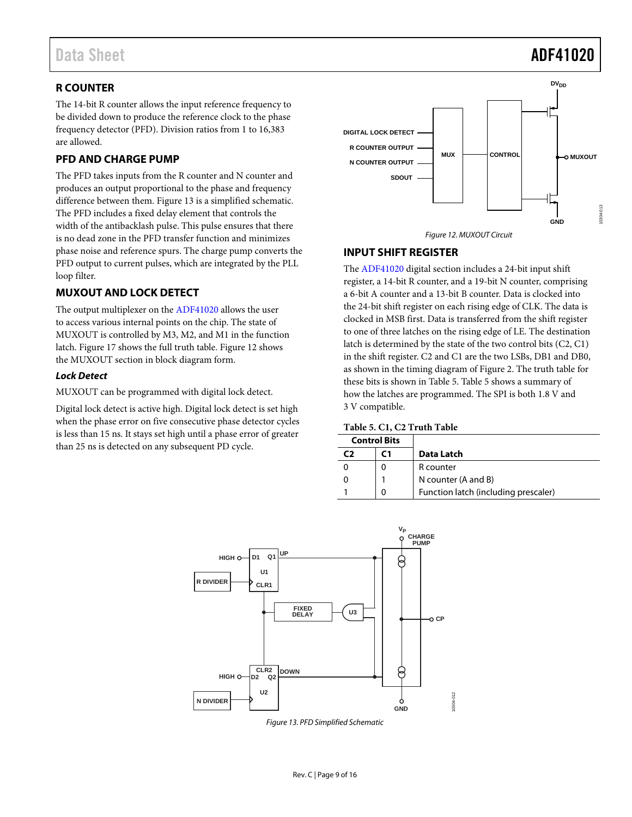# <span id="page-8-0"></span>**R COUNTER**

The 14-bit R counter allows the input reference frequency to be divided down to produce the reference clock to the phase frequency detector (PFD). Division ratios from 1 to 16,383 are allowed.

### <span id="page-8-1"></span>**PFD AND CHARGE PUMP**

The PFD takes inputs from the R counter and N counter and produces an output proportional to the phase and frequency difference between them. [Figure 13](#page-8-4) is a simplified schematic. The PFD includes a fixed delay element that controls the width of the antibacklash pulse. This pulse ensures that there is no dead zone in the PFD transfer function and minimizes phase noise and reference spurs. The charge pump converts the PFD output to current pulses, which are integrated by the PLL loop filter.

### <span id="page-8-2"></span>**MUXOUT AND LOCK DETECT**

The output multiplexer on th[e ADF41020](http://www.analog.com/ADF41020?doc=ADF41020.pdf) allows the user to access various internal points on the chip. The state of MUXOUT is controlled by M3, M2, and M1 in the function latch[. Figure 17](#page-11-0) shows the full truth table. [Figure 12](#page-8-5) shows the MUXOUT section in block diagram form.

### *Lock Detect*

MUXOUT can be programmed with digital lock detect.

Digital lock detect is active high. Digital lock detect is set high when the phase error on five consecutive phase detector cycles is less than 15 ns. It stays set high until a phase error of greater than 25 ns is detected on any subsequent PD cycle.





### <span id="page-8-5"></span><span id="page-8-3"></span>**INPUT SHIFT REGISTER**

The [ADF41020](http://www.analog.com/ADF41020?doc=ADF41020.pdf) digital section includes a 24-bit input shift register, a 14-bit R counter, and a 19-bit N counter, comprising a 6-bit A counter and a 13-bit B counter. Data is clocked into the 24-bit shift register on each rising edge of CLK. The data is clocked in MSB first. Data is transferred from the shift register to one of three latches on the rising edge of LE. The destination latch is determined by the state of the two control bits (C2, C1) in the shift register. C2 and C1 are the two LSBs, DB1 and DB0, as shown in the timing diagram of [Figure 2.](#page-3-2) The truth table for these bits is shown i[n Table 5. Table 5](#page-8-6) shows a summary of how the latches are programmed. The SPI is both 1.8 V and 3 V compatible.

#### <span id="page-8-6"></span>**Table 5. C1, C2 Truth Table**

| <b>Control Bits</b> |                                      |
|---------------------|--------------------------------------|
| ٢1                  | Data Latch                           |
|                     | R counter                            |
|                     | N counter (A and B)                  |
| 0                   | Function latch (including prescaler) |



<span id="page-8-4"></span>*Figure 13. PFD Simplified Schematic*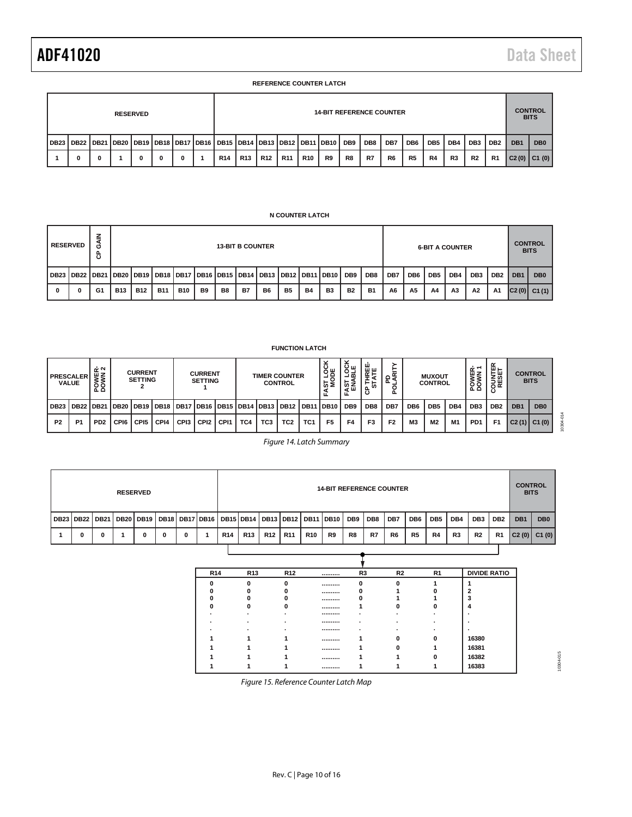#### **REFERENCE COUNTER LATCH**

| <b>RESERVED</b> |                                                                                                         |  |  |   |   |   |  |                 | <b>14-BIT REFERENCE COUNTER</b> |            |            |            |    |    |     |     |                 |                 |                |                 | <b>CONTROL</b><br><b>BITS</b> |                 |                 |
|-----------------|---------------------------------------------------------------------------------------------------------|--|--|---|---|---|--|-----------------|---------------------------------|------------|------------|------------|----|----|-----|-----|-----------------|-----------------|----------------|-----------------|-------------------------------|-----------------|-----------------|
|                 | DB23   DB22   DB21   DB20   DB19   DB18   DB17   DB16   DB15   DB14   DB13   DB12   DB11   DB10     DB9 |  |  |   |   |   |  |                 |                                 |            |            |            |    |    | DB8 | DB7 | DB <sub>6</sub> | DB <sub>5</sub> | DB4            | DB <sub>3</sub> | DB <sub>2</sub>               | DB <sub>1</sub> | D <sub>B</sub>  |
|                 |                                                                                                         |  |  | 0 | 0 | 0 |  | R <sub>14</sub> | <b>R13</b>                      | <b>R12</b> | <b>R11</b> | <b>R10</b> | R9 | R8 | R7  | R6  | R <sub>5</sub>  | R4              | R <sub>3</sub> | R <sub>2</sub>  | R <sub>1</sub>                |                 | $C2(0)$ $C1(0)$ |

#### **N COUNTER LATCH**

|   | <b>RESERVED</b> | z<br>Ő<br>ზ |            | <b>13-BIT B COUNTER</b> |                                                                                                       |            |    |                |    |    |                |           |                |           | <b>6-BIT A COUNTER</b> |     |                 |     |     |                 |                 | <b>CONTROL</b><br><b>BITS</b> |                 |
|---|-----------------|-------------|------------|-------------------------|-------------------------------------------------------------------------------------------------------|------------|----|----------------|----|----|----------------|-----------|----------------|-----------|------------------------|-----|-----------------|-----|-----|-----------------|-----------------|-------------------------------|-----------------|
|   |                 |             |            |                         | DB23   DB22   DB21   DB20   DB19   DB18   DB17   DB16   DB15   DB14   DB13   DB12   DB11   DB10   DB9 |            |    |                |    |    |                |           |                |           | DB <sub>8</sub>        | DB7 | DB <sub>6</sub> | DB5 | DB4 | DB <sub>3</sub> | DB <sub>2</sub> | DB <sub>1</sub>               | DB <sub>0</sub> |
| 0 | 0               | G1          | <b>B13</b> | <b>B12</b>              | <b>B11</b>                                                                                            | <b>B10</b> | B9 | B <sub>8</sub> | B7 | B6 | B <sub>5</sub> | <b>B4</b> | B <sub>3</sub> | <b>B2</b> | <b>B1</b>              | A6  | A5              | A4  | A3  | A2              | <b>A1</b>       | C2(0)                         | C1(1)           |

|           | <b>PRESCALER</b><br><b>VALUE</b> | ≃่∾<br><b>MAR</b><br>OWN<br>م ء |                  | <b>CURRENT</b><br><b>SETTING</b> |                  |                                         | <b>CURRENT</b><br><b>SETTING</b> |      |     |                 | <b>TIMER COUNTER</b><br><b>CONTROL</b> |                 | ğğ<br>ഗ ≥<br>ய   | ပய<br>공목<br>ងីក្<br>ய | шω<br>௳         |                |                 | <b>MUXOUT</b><br><b>CONTROL</b> |     | ≃∸<br>POWEF     | ш⊢<br>탈유<br>등쯦<br>ပ | <b>CONTROL</b><br><b>BITS</b> |                 |
|-----------|----------------------------------|---------------------------------|------------------|----------------------------------|------------------|-----------------------------------------|----------------------------------|------|-----|-----------------|----------------------------------------|-----------------|------------------|-----------------------|-----------------|----------------|-----------------|---------------------------------|-----|-----------------|---------------------|-------------------------------|-----------------|
| l DB23    | DB <sub>22</sub>                 | <b>DB21</b>                     | <b>DB20</b>      | <b>DB19</b>                      | <b>DB18</b>      | DB17   DB16   DB15   DB14   DB13   DB12 |                                  |      |     |                 |                                        | : I DB11        | DB <sub>10</sub> | DB <sub>9</sub>       | DB <sub>8</sub> | DB7            | DB <sub>6</sub> | DB <sub>5</sub>                 | DB4 | DB <sub>3</sub> | DB <sub>2</sub>     | DB <sub>1</sub>               | DB <sub>0</sub> |
| <b>P2</b> | P                                | PD <sub>2</sub>                 | CP <sub>16</sub> | CPI5                             | CP <sub>14</sub> | CP <sub>13</sub>                        | CPI <sub>2</sub>                 | CPI1 | TC4 | TC <sub>3</sub> | TC <sub>2</sub>                        | TC <sub>1</sub> | F <sub>5</sub>   | F <sub>4</sub>        | F <sub>3</sub>  | F <sub>2</sub> | M <sub>3</sub>  | M2                              | M1  | PD <sub>1</sub> | F1                  | C2(1)                         | C1(0)           |

**FUNCTION LATCH**

*Figure 14. Latch Summary*

| <b>RESERVED</b> |                                                                            |   |  |   |   |   |  | <b>14-BIT REFERENCE COUNTER</b> |            |            |            |            |    |     |       |                |                 |       | <b>CONTROL</b><br><b>BITS</b> |                 |                 |                 |                 |
|-----------------|----------------------------------------------------------------------------|---|--|---|---|---|--|---------------------------------|------------|------------|------------|------------|----|-----|-------|----------------|-----------------|-------|-------------------------------|-----------------|-----------------|-----------------|-----------------|
|                 | DB23 DB22 DB21 DB20 DB19 DB18 DB17 DB16 DB15 DB14 DB13 DB12 DB11 DB10 DB23 |   |  |   |   |   |  |                                 |            |            |            |            |    | DB9 | l DB8 | DB7            | DB <sub>6</sub> | DB5 I | DB4                           | DB <sub>3</sub> | DB <sub>2</sub> | DB <sub>1</sub> | DB <sub>0</sub> |
|                 |                                                                            | n |  | 0 | 0 | o |  | <b>R14</b>                      | <b>R13</b> | <b>R12</b> | <b>R11</b> | <b>R10</b> | R9 | R8  | R7    | R <sub>6</sub> | R <sub>5</sub>  | R4    | R <sub>3</sub>                | R <sub>2</sub>  | <b>R1</b>       | C2(0)           | C1(0)           |
|                 |                                                                            |   |  |   |   |   |  |                                 |            |            |            |            |    |     |       |                |                 |       |                               |                 |                 |                 |                 |

| <b>R14</b> | R <sub>13</sub> | R <sub>12</sub> | <br>R <sub>3</sub> | R <sub>2</sub> | R <sub>1</sub> | <b>DIVIDE RATIO</b> |
|------------|-----------------|-----------------|--------------------|----------------|----------------|---------------------|
|            | ŋ               |                 |                    |                |                |                     |
|            |                 |                 |                    |                |                |                     |
|            |                 |                 |                    |                |                |                     |
|            |                 |                 |                    |                |                |                     |
|            |                 |                 |                    |                |                |                     |
|            |                 |                 |                    |                |                |                     |
|            |                 |                 |                    |                |                |                     |
|            |                 |                 |                    |                |                | 16380               |
|            |                 |                 |                    |                |                | 16381               |
|            |                 |                 |                    |                |                | 16382               |
|            |                 |                 |                    |                |                | 16383               |
|            |                 |                 |                    |                |                |                     |

10304-015 10304-015

10304-014

10304-014

*Figure 15. Reference Counter Latch Map*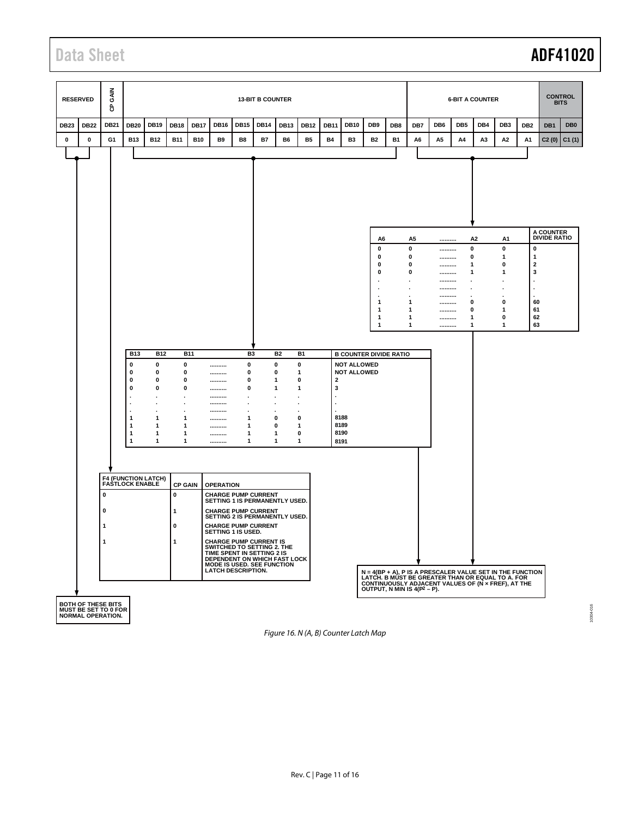# Data Sheet **ADF41020**



*Figure 16. N (A, B) Counter Latch Map*

10304-016 10304-016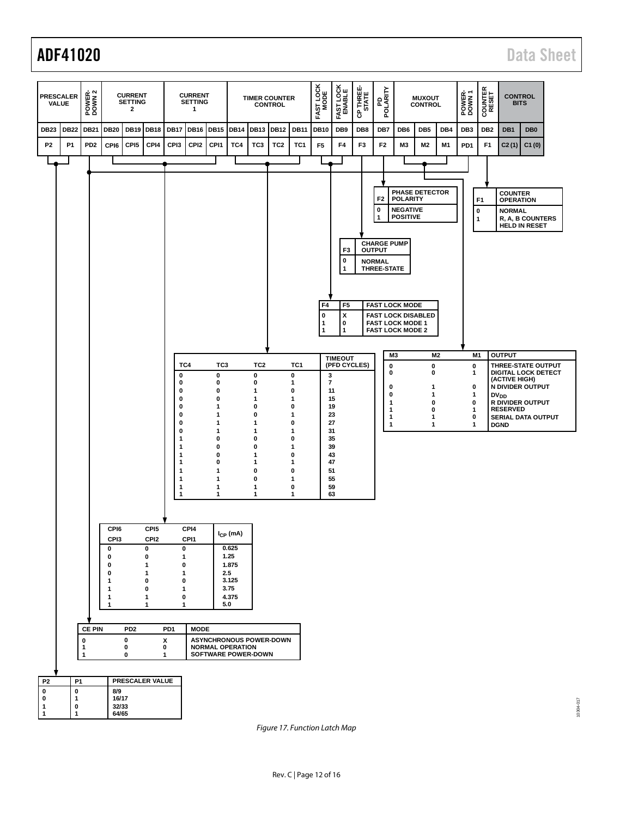

<span id="page-11-0"></span>*Figure 17. Function Latch Map*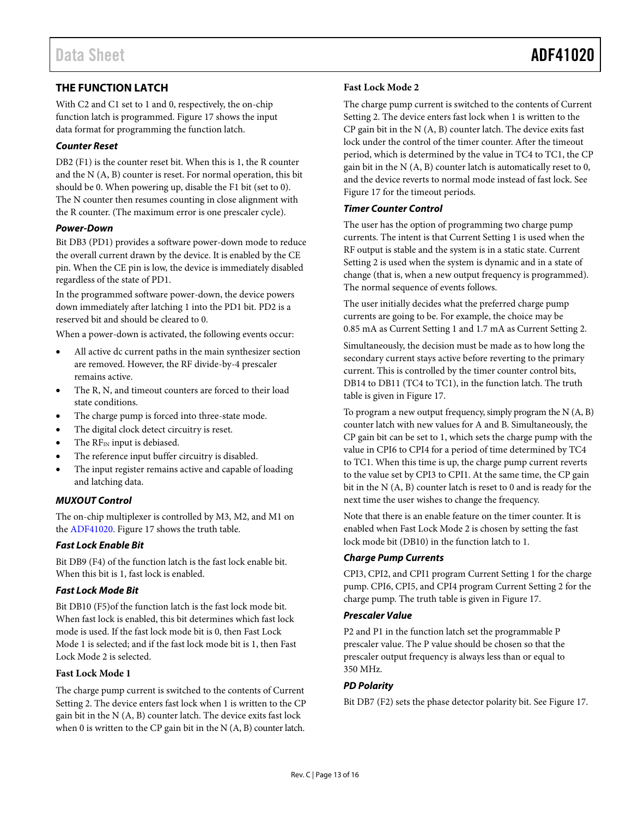# <span id="page-12-0"></span>**THE FUNCTION LATCH**

With C2 and C1 set to 1 and 0, respectively, the on-chip function latch is programmed[. Figure 17](#page-11-0) shows the input data format for programming the function latch.

### *Counter Reset*

DB2 (F1) is the counter reset bit. When this is 1, the R counter and the N (A, B) counter is reset. For normal operation, this bit should be 0. When powering up, disable the F1 bit (set to 0). The N counter then resumes counting in close alignment with the R counter. (The maximum error is one prescaler cycle).

#### *Power-Down*

Bit DB3 (PD1) provides a software power-down mode to reduce the overall current drawn by the device. It is enabled by the CE pin. When the CE pin is low, the device is immediately disabled regardless of the state of PD1.

In the programmed software power-down, the device powers down immediately after latching 1 into the PD1 bit. PD2 is a reserved bit and should be cleared to 0.

When a power-down is activated, the following events occur:

- All active dc current paths in the main synthesizer section are removed. However, the RF divide-by-4 prescaler remains active.
- The R, N, and timeout counters are forced to their load state conditions.
- The charge pump is forced into three-state mode.
- The digital clock detect circuitry is reset.
- The RFIN input is debiased.
- The reference input buffer circuitry is disabled.
- The input register remains active and capable of loading and latching data.

### *MUXOUT Control*

The on-chip multiplexer is controlled by M3, M2, and M1 on the [ADF41020.](http://www.analog.com/ADF41020?doc=ADF41020.pdf) [Figure 17](#page-11-0) shows the truth table.

### *Fast Lock Enable Bit*

Bit DB9 (F4) of the function latch is the fast lock enable bit. When this bit is 1, fast lock is enabled.

### *Fast Lock Mode Bit*

Bit DB10 (F5)of the function latch is the fast lock mode bit. When fast lock is enabled, this bit determines which fast lock mode is used. If the fast lock mode bit is 0, then Fast Lock Mode 1 is selected; and if the fast lock mode bit is 1, then Fast Lock Mode 2 is selected.

### **Fast Lock Mode 1**

The charge pump current is switched to the contents of Current Setting 2. The device enters fast lock when 1 is written to the CP gain bit in the N (A, B) counter latch. The device exits fast lock when 0 is written to the CP gain bit in the N (A, B) counter latch.

#### **Fast Lock Mode 2**

The charge pump current is switched to the contents of Current Setting 2. The device enters fast lock when 1 is written to the CP gain bit in the N (A, B) counter latch. The device exits fast lock under the control of the timer counter. After the timeout period, which is determined by the value in TC4 to TC1, the CP gain bit in the N (A, B) counter latch is automatically reset to 0, and the device reverts to normal mode instead of fast lock. See [Figure 17](#page-11-0) for the timeout periods.

#### *Timer Counter Control*

The user has the option of programming two charge pump currents. The intent is that Current Setting 1 is used when the RF output is stable and the system is in a static state. Current Setting 2 is used when the system is dynamic and in a state of change (that is, when a new output frequency is programmed). The normal sequence of events follows.

The user initially decides what the preferred charge pump currents are going to be. For example, the choice may be 0.85 mA as Current Setting 1 and 1.7 mA as Current Setting 2.

Simultaneously, the decision must be made as to how long the secondary current stays active before reverting to the primary current. This is controlled by the timer counter control bits, DB14 to DB11 (TC4 to TC1), in the function latch. The truth table is given in [Figure 17.](#page-11-0)

To program a new output frequency, simply program the N (A, B) counter latch with new values for A and B. Simultaneously, the CP gain bit can be set to 1, which sets the charge pump with the value in CPI6 to CPI4 for a period of time determined by TC4 to TC1. When this time is up, the charge pump current reverts to the value set by CPI3 to CPI1. At the same time, the CP gain bit in the N (A, B) counter latch is reset to 0 and is ready for the next time the user wishes to change the frequency.

Note that there is an enable feature on the timer counter. It is enabled when Fast Lock Mode 2 is chosen by setting the fast lock mode bit (DB10) in the function latch to 1.

### *Charge Pump Currents*

CPI3, CPI2, and CPI1 program Current Setting 1 for the charge pump. CPI6, CPI5, and CPI4 program Current Setting 2 for the charge pump. The truth table is given i[n Figure 17.](#page-11-0)

### *Prescaler Value*

P2 and P1 in the function latch set the programmable P prescaler value. The P value should be chosen so that the prescaler output frequency is always less than or equal to 350 MHz.

### *PD Polarity*

Bit DB7 (F2) sets the phase detector polarity bit. See [Figure 17.](#page-11-0)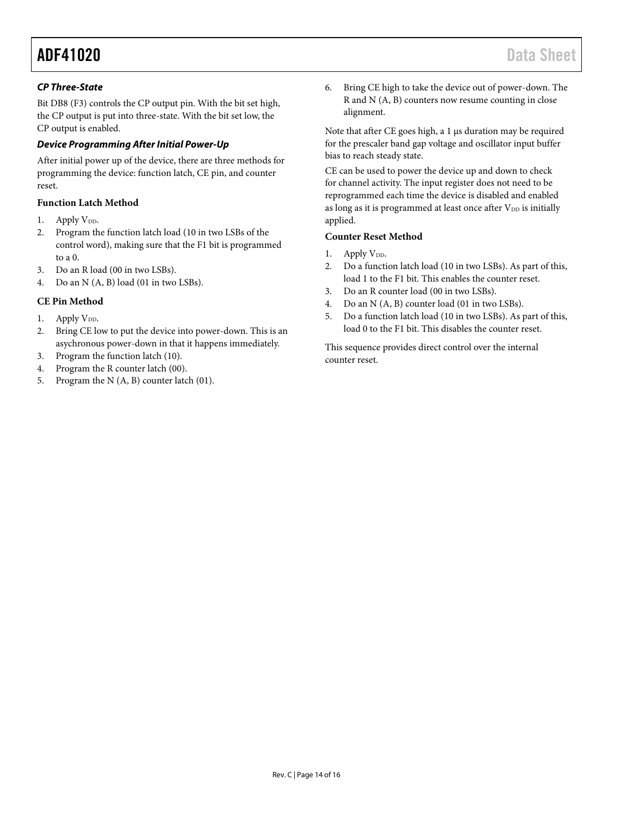### *CP Three-State*

Bit DB8 (F3) controls the CP output pin. With the bit set high, the CP output is put into three-state. With the bit set low, the CP output is enabled.

### *Device Programming After Initial Power-Up*

After initial power up of the device, there are three methods for programming the device: function latch, CE pin, and counter reset.

### **Function Latch Method**

- 1. Apply V<sub>DD</sub>.
- 2. Program the function latch load (10 in two LSBs of the control word), making sure that the F1 bit is programmed to a 0.
- 3. Do an R load (00 in two LSBs).
- 4. Do an N (A, B) load (01 in two LSBs).

### **CE Pin Method**

- 1. Apply  $V_{DD}$ .
- 2. Bring CE low to put the device into power-down. This is an asychronous power-down in that it happens immediately.
- 3. Program the function latch (10).
- 4. Program the R counter latch (00).
- 5. Program the N (A, B) counter latch (01).

6. Bring CE high to take the device out of power-down. The R and N (A, B) counters now resume counting in close alignment.

Note that after CE goes high, a 1 µs duration may be required for the prescaler band gap voltage and oscillator input buffer bias to reach steady state.

CE can be used to power the device up and down to check for channel activity. The input register does not need to be reprogrammed each time the device is disabled and enabled as long as it is programmed at least once after  $V_{DD}$  is initially applied.

### **Counter Reset Method**

- 1. Apply  $V_{DD}$ .
- 2. Do a function latch load (10 in two LSBs). As part of this, load 1 to the F1 bit. This enables the counter reset.
- 3. Do an R counter load (00 in two LSBs).
- 4. Do an N (A, B) counter load (01 in two LSBs).
- 5. Do a function latch load (10 in two LSBs). As part of this, load 0 to the F1 bit. This disables the counter reset.

This sequence provides direct control over the internal counter reset.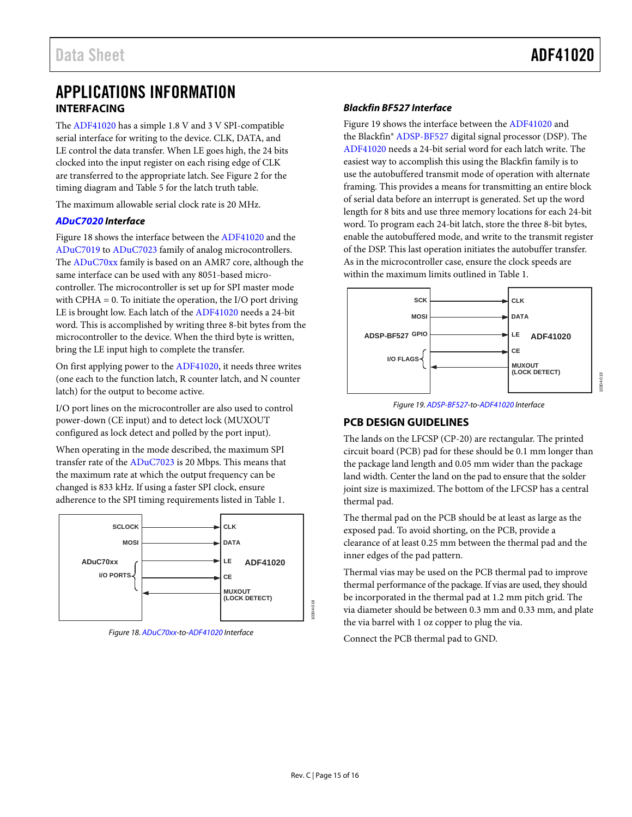10304-019

# <span id="page-14-1"></span><span id="page-14-0"></span>APPLICATIONS INFORMATION **INTERFACING**

The [ADF41020 h](http://www.analog.com/ADF41020?doc=ADF41020.pdf)as a simple 1.8 V and 3 V SPI-compatible serial interface for writing to the device. CLK, DATA, and LE control the data transfer. When LE goes high, the 24 bits clocked into the input register on each rising edge of CLK are transferred to the appropriate latch. Se[e Figure 2 f](#page-3-2)or the timing diagram an[d Table 5 f](#page-8-6)or the latch truth table.

The maximum allowable serial clock rate is 20 MHz.

### **[ADuC7020 I](http://www.analog.com/ADuC7020?doc=ADF41020.pdf)nterface**

[Figure 18 s](#page-14-3)hows the interface between th[e ADF41020 a](http://www.analog.com/ADF41020?doc=ADF41020.pdf)nd the [ADuC7019](http://www.analog.com/ADuC7019?doc=ADF41020.pdf) to [ADuC7023 f](http://www.analog.com/ADuC7023?doc=ADF41020.pdf)amily of analog microcontrollers. The [ADuC70xx](http://www.analog.com/ADuC70?doc=ADF41020.pdf) family is based on an AMR7 core, although the same interface can be used with any 8051-based microcontroller. The microcontroller is set up for SPI master mode with CPHA = 0. To initiate the operation, the I/O port driving LE is brought low. Each latch of th[e ADF41020 n](http://www.analog.com/ADF41020?doc=ADF41020.pdf)eeds a 24-bit word. This is accomplished by writing three 8-bit bytes from the microcontroller to the device. When the third byte is written, bring the LE input high to complete the transfer.

On first applying power to th[e ADF41020,](http://www.analog.com/ADF41020?doc=ADF41020.pdf) it needs three writes (one each to the function latch, R counter latch, and N counter latch) for the output to become active.

I/O port lines on the microcontroller are also used to control power-down (CE input) and to detect lock (MUXOUT configured as lock detect and polled by the port input).

When operating in the mode described, the maximum SPI transfer rate of the [ADuC7023](http://www.analog.com/ADuC7023?doc=ADF41020.pdf) is 20 Mbps. This means that the maximum rate at which the output frequency can be changed is 833 kHz. If using a faster SPI clock, ensure adherence to the SPI timing requirements listed i[n Table 1.](#page-2-1) 



<span id="page-14-3"></span>Figure 18[. ADuC70xx-](http://www.analog.com/ADuC70?doc=ADF41020.pdf)to[-ADF41020 I](http://www.analog.com/ADF41020?doc=ADF41020.pdf)nterface

### **Blackfin BF527 Interface**

[Figure 19 s](#page-14-4)hows the interface between th[e ADF41020 a](http://www.analog.com/ADF41020?doc=ADF41020.pdf)nd the Blackfin® [ADSP-BF527 d](http://www.analog.com/ADSP-BF527?doc=ADF41020.pdf)igital signal processor (DSP). The [ADF41020 n](http://www.analog.com/ADF41020?doc=ADF41020.pdf)eeds a 24-bit serial word for each latch write. The easiest way to accomplish this using the Blackfin family is to use the autobuffered transmit mode of operation with alternate framing. This provides a means for transmitting an entire block of serial data before an interrupt is generated. Set up the word length for 8 bits and use three memory locations for each 24-bit word. To program each 24-bit latch, store the three 8-bit bytes, enable the autobuffered mode, and write to the transmit register of the DSP. This last operation initiates the autobuffer transfer. As in the microcontroller case, ensure the clock speeds are within the maximum limits outlined in [Table 1.](#page-2-1)





# <span id="page-14-4"></span><span id="page-14-2"></span>**PCB DESIGN GUIDELINES**

The lands on the LFCSP (CP-20) are rectangular. The printed circuit board (PCB) pad for these should be 0.1 mm longer than the package land length and 0.05 mm wider than the package land width. Center the land on the pad to ensure that the solder joint size is maximized. The bottom of the LFCSP has a central thermal pad.

The thermal pad on the PCB should be at least as large as the exposed pad. To avoid shorting, on the PCB, provide a clearance of at least 0.25 mm between the thermal pad and the inner edges of the pad pattern.

Thermal vias may be used on the PCB thermal pad to improve thermal performance of the package. If vias are used, they should be incorporated in the thermal pad at 1.2 mm pitch grid. The via diameter should be between 0.3 mm and 0.33 mm, and plate the via barrel with 1 oz copper to plug the via.

Connect the PCB thermal pad to GND.